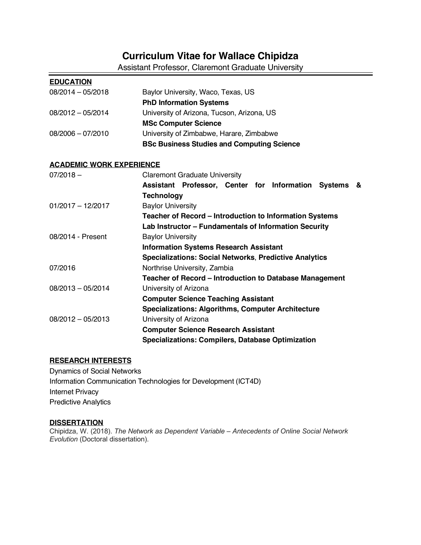# **Curriculum Vitae for Wallace Chipidza**

Assistant Professor, Claremont Graduate University

| <b>EDUCATION</b>                |                                                               |
|---------------------------------|---------------------------------------------------------------|
| 08/2014 - 05/2018               | Baylor University, Waco, Texas, US                            |
|                                 | <b>PhD Information Systems</b>                                |
| 08/2012 - 05/2014               | University of Arizona, Tucson, Arizona, US                    |
|                                 | <b>MSc Computer Science</b>                                   |
| 08/2006 - 07/2010               | University of Zimbabwe, Harare, Zimbabwe                      |
|                                 | <b>BSc Business Studies and Computing Science</b>             |
| <b>ACADEMIC WORK EXPERIENCE</b> |                                                               |
| $07/2018 -$                     | <b>Claremont Graduate University</b>                          |
|                                 | Assistant Professor, Center for Information<br>Systems &      |
|                                 | <b>Technology</b>                                             |
| $01/2017 - 12/2017$             | <b>Baylor University</b>                                      |
|                                 | Teacher of Record - Introduction to Information Systems       |
|                                 | Lab Instructor - Fundamentals of Information Security         |
| 08/2014 - Present               | <b>Baylor University</b>                                      |
|                                 | <b>Information Systems Research Assistant</b>                 |
|                                 | <b>Specializations: Social Networks, Predictive Analytics</b> |
| 07/2016                         | Northrise University, Zambia                                  |
|                                 | Teacher of Record - Introduction to Database Management       |
| $08/2013 - 05/2014$             | University of Arizona                                         |
|                                 | <b>Computer Science Teaching Assistant</b>                    |
|                                 | <b>Specializations: Algorithms, Computer Architecture</b>     |
| $08/2012 - 05/2013$             | University of Arizona                                         |
|                                 | <b>Computer Science Research Assistant</b>                    |
|                                 | <b>Specializations: Compilers, Database Optimization</b>      |

# **RESEARCH INTERESTS**

Dynamics of Social Networks Information Communication Technologies for Development (ICT4D) Internet Privacy Predictive Analytics

# **DISSERTATION**

Chipidza, W. (2018). *The Network as Dependent Variable – Antecedents of Online Social Network Evolution* (Doctoral dissertation).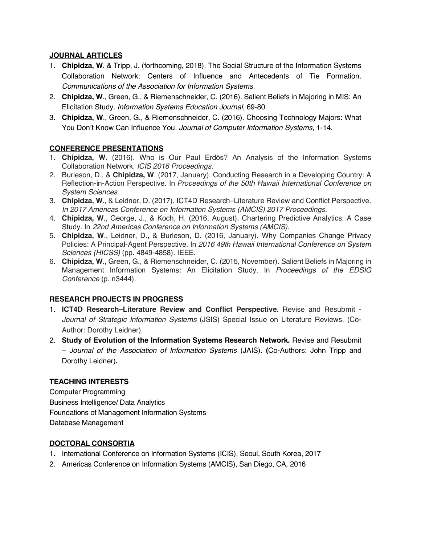# **JOURNAL ARTICLES**

- 1. **Chipidza, W**. & Tripp, J. (forthcoming, 2018). The Social Structure of the Information Systems Collaboration Network: Centers of Influence and Antecedents of Tie Formation. *Communications of the Association for Information Systems*.
- 2. **Chipidza, W**., Green, G., & Riemenschneider, C. (2016). Salient Beliefs in Majoring in MIS: An Elicitation Study. *Information Systems Education Journal*, 69-80.
- 3. **Chipidza, W**., Green, G., & Riemenschneider, C. (2016). Choosing Technology Majors: What You Don't Know Can Influence You. *Journal of Computer Information Systems*, 1-14.

# **CONFERENCE PRESENTATIONS**

- 1. **Chipidza, W**. (2016). Who is Our Paul Erdös? An Analysis of the Information Systems Collaboration Network. *ICIS 2016 Proceedings*.
- 2. Burleson, D., & **Chipidza, W**. (2017, January). Conducting Research in a Developing Country: A Reflection-in-Action Perspective. In *Proceedings of the 50th Hawaii International Conference on System Sciences*.
- 3. **Chipidza, W**., & Leidner, D. (2017). ICT4D Research–Literature Review and Conflict Perspective. *In 2017 Americas Conference on Information Systems (AMCIS) 2017 Proceedings*.
- 4. **Chipidza, W**., George, J., & Koch, H. (2016, August). Chartering Predictive Analytics: A Case Study. In *22nd Americas Conference on Information Systems (AMCIS)*.
- 5. **Chipidza, W**., Leidner, D., & Burleson, D. (2016, January). Why Companies Change Privacy Policies: A Principal-Agent Perspective. In *2016 49th Hawaii International Conference on System Sciences (HICSS)* (pp. 4849-4858). IEEE.
- 6. **Chipidza, W**., Green, G., & Riemenschneider, C. (2015, November). Salient Beliefs in Majoring in Management Information Systems: An Elicitation Study. In *Proceedings of the EDSIG Conference* (p. n3444).

# **RESEARCH PROJECTS IN PROGRESS**

- 1. **ICT4D Research–Literature Review and Conflict Perspective.** Revise and Resubmit *Journal of Strategic Information Systems* (JSIS) Special Issue on Literature Reviews. (Co-Author: Dorothy Leidner).
- 2. **Study of Evolution of the Information Systems Research Network.** Revise and Resubmit – *Journal of the Association of Information Systems* (JAIS)**. (**Co-Authors: John Tripp and Dorothy Leidner)**.**

# **TEACHING INTERESTS**

Computer Programming Business Intelligence/ Data Analytics Foundations of Management Information Systems Database Management

# **DOCTORAL CONSORTIA**

- 1. International Conference on Information Systems (ICIS), Seoul, South Korea, 2017
- 2. Americas Conference on Information Systems (AMCIS), San Diego, CA, 2016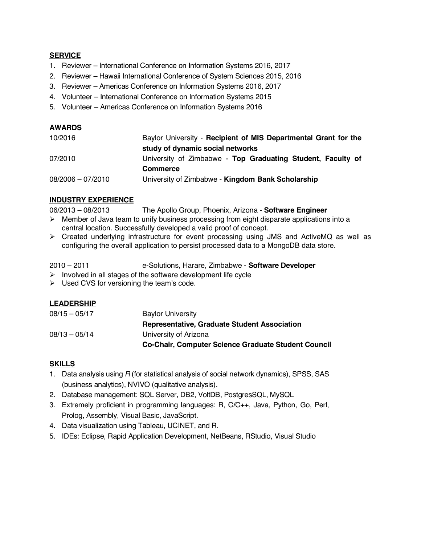#### **SERVICE**

- 1. Reviewer International Conference on Information Systems 2016, 2017
- 2. Reviewer Hawaii International Conference of System Sciences 2015, 2016
- 3. Reviewer Americas Conference on Information Systems 2016, 2017
- 4. Volunteer International Conference on Information Systems 2015
- 5. Volunteer Americas Conference on Information Systems 2016

## **AWARDS**

| 10/2016             | Baylor University - Recipient of MIS Departmental Grant for the |
|---------------------|-----------------------------------------------------------------|
|                     | study of dynamic social networks                                |
| 07/2010             | University of Zimbabwe - Top Graduating Student, Faculty of     |
|                     | <b>Commerce</b>                                                 |
| $08/2006 - 07/2010$ | University of Zimbabwe - Kingdom Bank Scholarship               |

#### **INDUSTRY EXPERIENCE**

06/2013 – 08/2013 The Apollo Group, Phoenix, Arizona - **Software Engineer**

- $\triangleright$  Member of Java team to unify business processing from eight disparate applications into a central location. Successfully developed a valid proof of concept.
- Ø Created underlying infrastructure for event processing using JMS and ActiveMQ as well as configuring the overall application to persist processed data to a MongoDB data store.
- 2010 2011 e-Solutions, Harare, Zimbabwe **Software Developer**
- $\triangleright$  Involved in all stages of the software development life cycle
- $\triangleright$  Used CVS for versioning the team's code.

#### **LEADERSHIP**

|                 | <b>Co-Chair, Computer Science Graduate Student Council</b> |
|-----------------|------------------------------------------------------------|
| $08/13 - 05/14$ | University of Arizona                                      |
|                 | <b>Representative, Graduate Student Association</b>        |
| $08/15 - 05/17$ | <b>Baylor University</b>                                   |

#### **SKILLS**

- 1. Data analysis using *R* (for statistical analysis of social network dynamics), SPSS, SAS (business analytics), NVIVO (qualitative analysis).
- 2. Database management: SQL Server, DB2, VoltDB, PostgresSQL, MySQL
- 3. Extremely proficient in programming languages: R, C/C++, Java, Python, Go, Perl, Prolog, Assembly, Visual Basic, JavaScript.
- 4. Data visualization using Tableau, UCINET, and R.
- 5. IDEs: Eclipse, Rapid Application Development, NetBeans, RStudio, Visual Studio